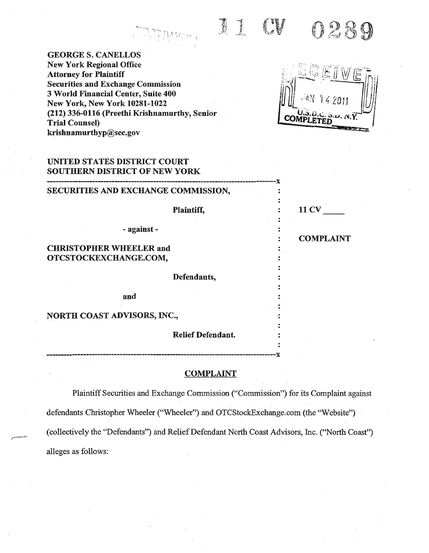**Branch** 0289

GEORGES.CANELLOS New York Regional Office Attorney for Plaintiff Securities and Exchange Commission 3 World Financial Center, Suite 400 New York, New York 10281-1022 (212) 336-0116 (Preethi Krishnamurthy, Senior Trial Counsel) krishnamurthyp@sec.gov

СОм

| UNITED STATES DISTRICT COURT<br><b>SOUTHERN DISTRICT OF NEW YORK</b> |                  |
|----------------------------------------------------------------------|------------------|
| SECURITIES AND EXCHANGE COMMISSION,                                  |                  |
| Plaintiff,                                                           | <b>11 CV</b>     |
| - against -                                                          | <b>COMPLAINT</b> |
| <b>CHRISTOPHER WHEELER and</b><br>OTCSTOCKEXCHANGE.COM,              |                  |
| Defendants,                                                          |                  |
| and                                                                  |                  |
| <b>NORTH COAST ADVISORS, INC.,</b>                                   |                  |
| <b>Relief Defendant.</b>                                             |                  |
|                                                                      |                  |

# **COMPLAINT**

------------------------------------------------------~---------------------------x

Plaintiff Securities and Exchange Commission ("Commission") for its Complaint against defendants Christopher Wheeler ("Wheeler") and OTCStockExchange.com (the "Website") (collectively the "Defendants") and Relief Defendant North Coast Advisors, Inc. ("North Coast") alleges as follows: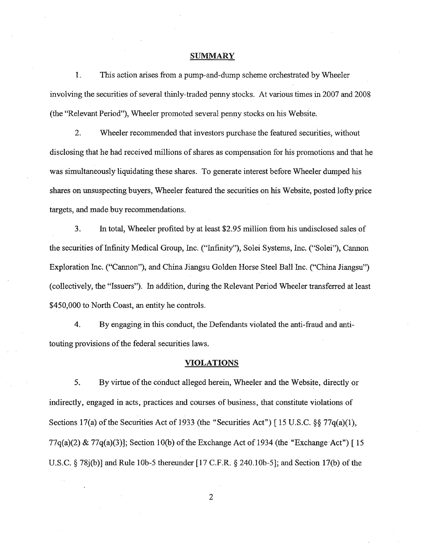#### **SUMMARY**

1. This action arises from a pump-and-dump scheme orchestrated by Wheeler involving the securities of several thinly-traded penny stocks. At various times in 2007 and 2008 (the "Relevant Period"), Wheeler promoted several penny stocks on his Website.

2. Wheeler recommended that investors purchase the featured securities, without disclosing that he had received millions of shares as compensation for his promotions and that he was simultaneously liquidating these shares. To generate interest before Wheeler dumped his shares on unsuspecting buyers, Wheeler featured the securities on his Website, posted lofty price targets, and made buy recommendations.

3. In total, Wheeler profited by at least \$2.95 million from his undisclosed sales of the securities of Infinity Medical Group, Inc. ("Infinity"), Solei Systems, Inc. ("Solei"), Cannon Exploration Inc. ("Cannon"), and China Jiangsu Golden Horse Steel Ball Inc. ("China Jiangsu") (collectively, the "Issuers"). In addition, during the Relevant Period Wheeler transferred at least \$450,000 to North Coast, an entity he controls.

4. By engaging in this conduct, the Defendants violated the anti-fraud and antitouting provisions of the federal securities laws.

### **VIOLATIONS**

5. By virtue of the conduct alleged herein, Wheeler and the Website, directly or indirectly, engaged in acts, practices and courses of business, that constitute violations of Sections 17(a) of the Securities Act of 1933 (the "Securities Act") [15 U.S.C.  $\S$ § 77q(a)(1), 77q(a)(2) & 77q(a)(3)]; Section 10(b) of the Exchange Act of 1934 (the "Exchange Act") [15] U.S.C. § 78j(b)] and Rule lOb-5 thereunder [17 C.F.R. § 240.lOb-5]; and Section 17(b) of the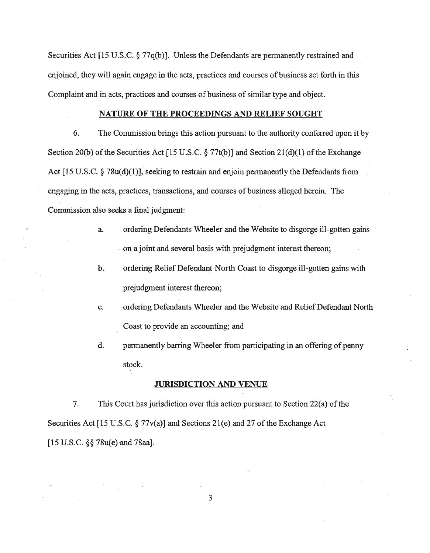Securities Act [15 U.S.C.  $\S 77q(b)$ ]. Unless the Defendants are permanently restrained and enjoined, they will again engage in the acts, practices and courses of business set forth in this Complaint and in acts, practices and courses of business of similar type and object.

#### NATURE OF THE PROCEEDINGS AND RELIEF SOUGHT

6. The Commission brings this action pursuant to the authority conferred upon it by Section 20(b) of the Securities Act [15 U.S.C.  $\S 77t(b)$ ] and Section 21(d)(1) of the Exchange Act [15 U.S.C. § 78u(d)(1)], seeking to restrain and enjoin permanently the Defendants from engaging in the acts, practices, transactions, and courses of business alleged herein. The Commission also seeks a final judgment:

- a. ordering Defendants Wheeler and the Website to disgorge ill-gotten gains on a joint and several basis with prejudgment interest thereon;
- b. ordering Relief Defendant North Coast to disgorge ill-gotten gains with prejudgment interest thereon;
- c. ordering Defendants Wheeler and the Website and Relief Defendant North Coast to provide an accounting; and
- d. permanently barring Wheeler from participating in an offering of penny stock.

### JURISDICTION AND VENUE

7. This Court has jurisdiction over this action pursuant to Section 22(a) of the Securities Act [15 U.S.C.  $\S 77v(a)$ ] and Sections 21(e) and 27 of the Exchange Act [15 U.S.C. §§ 78u(e) and 78aa].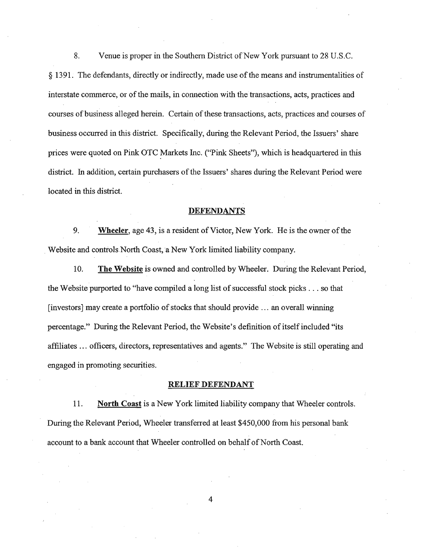8. Venue is proper in the Southern District of New York pursuant to 28 U.S.C. § 1391. The defendants, directly or indirectly, made use ofthe means and instrumentalities of interstate commerce, or of the mails, in connection with the transactions, acts, practices and courses of business alleged herein. Certain of these transactions, acts, practices and courses of business occurred in this district. Specifically, during the Relevant Period, the Issuers' share prices were quoted on Pink OTC Markets Inc. ("Pink Sheets"), which is headquartered in this district. In addition, certain purchasers of the Issuers' shares during the Relevant Period were located in this district.

#### **DEFENDANTS**

9. **Wheeler, age 43, is a resident of Victor, New York.** He is the owner of the Website and controls North Coast, a New York limited liability company.

10. The Website is owned and controlled by Wheeler. During the Relevant Period, the Website purported to "have compiled a long list of successful stock picks  $\dots$  so that  $[investors]$  may create a portfolio of stocks that should provide  $\dots$  an overall winning percentage." During the Relevant Period, the Website's definition of itself included "its affiliates ... officers, directors, representatives and agents." The Website is still operating and engaged in promoting securities.

### **RELIEF DEFENDANT**

11. **North Coast** is a New York limited liability company that Wheeler controls. During the Relevant Period, Wheeler transferred at least \$450,000 from his personal bank account to a bank account that Wheeler controlled on behalf of North Coast.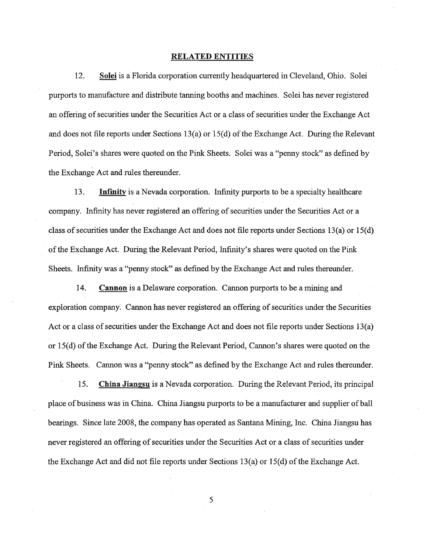#### **RELATED ENTITIES**

12. **Solei** is a Florida corporation currently headquartered in Cleveland, Ohio. Solei purports to manufacture and distribute tanning booths and machines. Solei has never registered an offering ofsecurities under the Securities Act or a class of securities under the Exchange Act and does not file reports under Sections 13(a) or 15(d) of the Exchange Act. During the Relevant Period, Solei's shares were quoted on the Pink Sheets. Solei was a "penny stock" as defined by the Exchange Act and rules thereunder.

13. **Inrmitv** is a Nevada corporation. Infinity purports to be a specialty healthcare company. Infinity has never registered an offering of securities under the Securities Act or a class of securities under the Exchange Act and does not file reports under Sections 13(a) or 15(d) ofthe Exchange Act. During the Relevant Period, Infinity's shares were quoted on the Pink Sheets. Infinity was a "penny stock" as defined by the Exchange Act and rules thereunder.

14. **Cannon** is a Delaware corporation. Cannon purports to be a mining and exploration company. Cannon has never registered an offering of securities under the Securities Act or a class of securities under the Exchange Act and does not file reports under Sections 13(a) or 15(d) of the Exchange Act. During the Relevant Period, Cannon's shares were quoted on the Pink Sheets. Cannon was a "penny stock" as defined by the Exchange Act and rules thereunder.

15. **China Jiangsu** is a Nevada corporation. During the Relevant Period, its principal place ofbusiness was in China. China Jiangsu purports to be a manufacturer and supplier ofball bearings. Since late 2008, the company has operated as Santana Mining, Inc. China Jiangsu has never registered an offering of securities under the Securities Act or a class of securities under the Exchange Act and did not file reports under Sections 13(a) or 15(d) of the Exchange Act.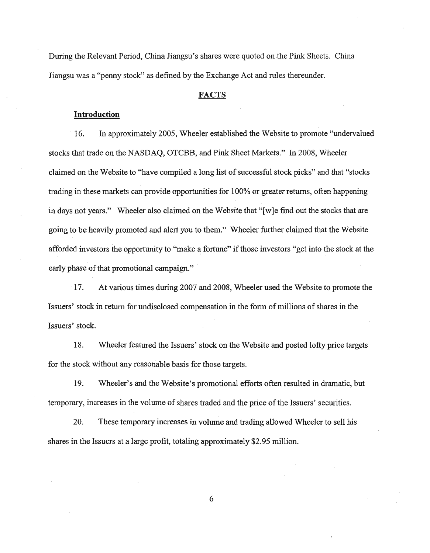During the Relevant Period, China Jiangsu's shares were quoted on the Pink Sheets. China Jiangsu was a "penny stock" as defined by the Exchange Act and rules thereunder.

### FACTS

#### **Introduction**

. 16. In approximately 2005, Wheeler established the Website to promote ''undervalued stocks that trade on the NASDAQ, OTCBB, and Pink Sheet Markets." In 2008, Wheeler claimed on the Website to "have compiled a long list of successful stock picks" and that "stocks trading in these markets can provide opportunities for 100% or greater returns, often happening in days not years." Wheeler also claimed on the Website that "[w]e find out the stocks that are going to be heavily promoted and alert you to them." Wheeler further claimed that the Website afforded investors the opportunity to "make a fortune" ifthose investors "get into the stock at the early phase of that promotional campaign."

17. At various times during 2007 and 2008, Wheeler used the Website to promote the Issuers' stock in return for undisclosed compensation in the form of millions of shares in the Issuers' stock.

18. Wheeler featured the Issuers' stock on the Website and posted lofty price targets for the stock without any reasonable basis for those targets.

19. Wheeler's and the Website's promotional efforts often resulted in dramatic, but temporary, increases in the volume ofshares traded and the price ofthe Issuers' securities.

20. These temporary increases in volume and trading allowed Wheeler to sell his shares in the Issuers at a large profit, totaling approximately \$2.95 million.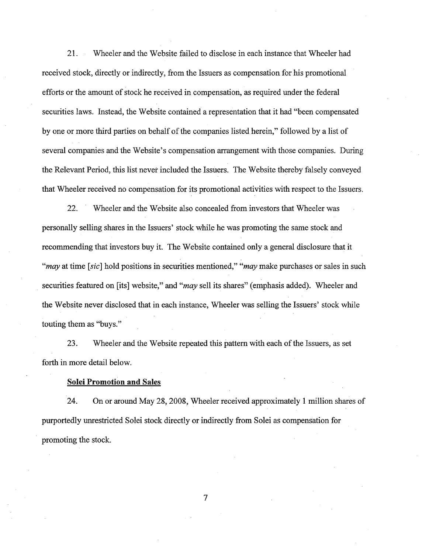21. Wheeler and the Website failed to disclose in each instance that Wheeler had received stock, directly or indirectly, from the Issuers as compensation for his promotional efforts or the amount of stock he received in compensation, as required under the federal securities laws. Instead, the Website contained a representation that it had "been compensated by one or more third parties on behalf of the companies listed herein," followed by a list of several companies and the Website's compensation arrangement with those companies. During the Relevant Period, this list never included the Issuers. The Website thereby falsely conveyed that Wheeler received no compensation for its promotional activities with respect to the Issuers.

22. Wheeler and the Website also concealed from investors that Wheeler was personally selling shares in the Issuers' stock while he was promoting the same stock and recommending that investors buy it. The Website contained only a general disclosure that it *"may* at time [sic] hold positions in securities mentioned," *"may* make purchases or sales in such securities featured on [its] website," and *"may* sell its shares" (emphasis added). Wheeler and the Website never disclosed that in each instance, Wheeler was selling the Issuers' stock while touting them as "buys."

23. Wheeler and the Website repeated this pattern with each of the Issuers, as set forth in more detail below.

#### **Solei Promotion and Sales**

24. On or around May 28, 2008, Wheeler received approximately 1 million shares of purportedly unrestricted Solei stock directly or indirectly from Solei as compensation for promoting the stock.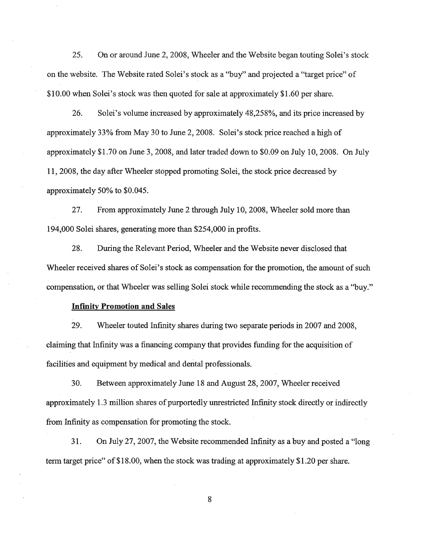25. On or around June 2, 2008, Wheeler and the Website began touting Solei's stock on the website. The Website rated Solei's stock as a "buy" and projected a "target price" of \$10.00 when Solei's stock was then quoted for sale at approximately \$1.60 per share.

26. Solei's volume increased by approximately 48,258%, and its price increased by approximately 33% from May 30 to June 2,2008. Solei's stock price reached a high of approximately \$1.70 on June 3, 2008, and later traded down to \$0.09 on July 10,2008. On July **11,** 2008, the day after Wheeler stopped promoting Solei, the stock price decreased by approximately 50% to \$0.045.

27. From approximately June 2 through July 10, 2008, Wheeler sold more than 194,000 Solei shares, generating more than \$254,000 in profits.

28. During the Relevant Period, Wheeler and the Website never disclosed that Wheeler received shares of Solei's stock as compensation for the promotion, the amount of such compensation, or that Wheeler was selling Solei stock while recommending the stock as a ''buy.''

#### **Infinity Promotion and Sales**

29. Wheeler touted Infinity shares during two separate periods in 2007 and 2008, claiming that Infinity was a financing company that provides funding for the acquisition of facilities and equipment by medical and dental professionals.

30. Between approximately June 18 and August 28,2007, Wheeler received approximately 1.3 million shares of purportedly unrestricted Infinity stock directly or indirectly from Infinity as compensation for promoting the stock.

31. On July 27,2007, the Website recommended Infinity as a buy and posted a "long term target price" of\$18.00, when the stock was trading at approximately \$1.20 per share.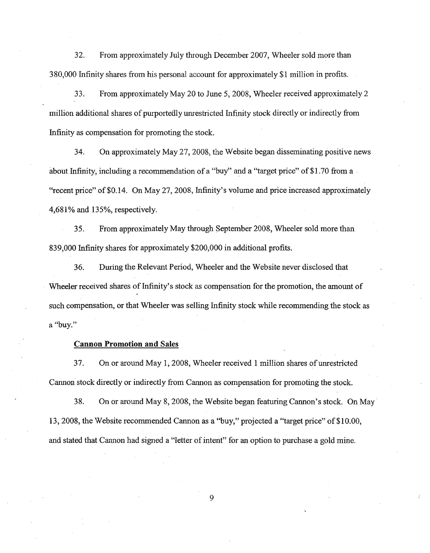32. From approximately July through December 2007, Wheeler sold more than 380,000 Infinity shares from his personal account for approximately \$1 million in profits.

33. From approximately May 20 to June 5, 2008, Wheeler received approximately 2 million additional shares of purportedly unrestricted Infinity stock directly or indirectly from Infinity as compensation for promoting the stock.

34. On approximately May 27,2008, the Website began disseminating positive news about Infinity, including a recommendation of a "buy" and a "target price" of \$1.70 from a "recent price" of \$0.14. On May 27, 2008, Infinity's volume and price increased approximately 4,681% and 135%, respectively.

35. From approximately May through September 2008, Wheeler sold more than 839,000 Infinity shares for approximately \$200,000 in additional profits.

36. During the Relevant Period, Wheeler and the Website never disclosed that Wheeler received shares of Infinity's stock as compensation for the promotion, the amount of such compensation, or that Wheeler was selling Infinity stock while recommending the stock as a "buy."

### **Cannon Promotion and** Sales

37. On or around May 1, 2008, Wheeler received 1 million shares of unrestricted Cannon stock directly or indirectly from Cannon as compensation for promoting the stock.

38. On or around May 8,2008, the Website began featuring Cannon's stock. On May· 13, 2008, the Website recommended Cannon as a "buy," projected a "target price" of \$10.00, and stated that Cannon had signed a "letter of intent" for an option to purchase a gold mine.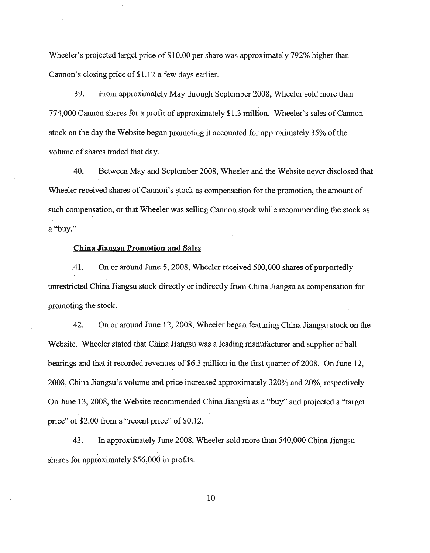Wheeler's projected target price of \$10.00 per share was approximately 792% higher than Cannon's closing price of\$1.12 a few days earlier.

39. From approximately May through September 2008, Wheeler sold more than 774,000 Cannon shares for a profit of approximately \$1.3 million. Wheeler's sales of Cannon stock on the day the Website began promoting it accounted for approximately 35% of the volume of shares traded that day.

40. Between May and September 2008, Wheeler and the Website never disclosed that Wheeler received shares of Cannon's stock as compensation for the promotion, the amount of such compensation, or that Wheeler was selling Cannon stock while recommending the stock as a ''buy.''

#### **China Jiangsu Promotion and** Sales

41. On or around June 5, 2008, Wheeler received 500,000 shares of purportedly unrestricted China Jiangsu stock directly or indirectly from China Jiangsu as compensation for promoting the stock.

42. On or around June 12,2008, Wheeler began featuring China Jiangsu stock on the Website. Wheeler stated that China Jiangsu was a leading manufacturer and supplier of ball bearings and that it recorded revenues of \$6.3 million in the first quarter of 2008. On June 12, 2008, China Jiangsu's volume and price increased approximately 320% and 20%, respectively. On June 13, 2008, the Website recommended China Jiangsu as a "buy" and projected a "target price" of \$2.00 from a "recent price" of \$0.12.

43. In approximately June 2008, Wheeler sold more than 540,000 China Jiangsu shares for approximately \$56,000 in profits.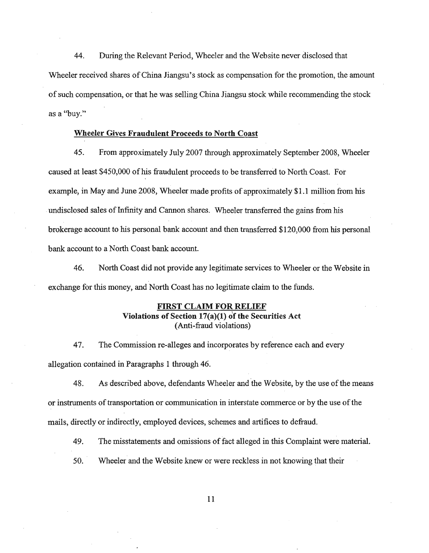44. During the Relevant Period, Wheeler and the Website never disclosed that Wheeler received shares of China Jiangsu's stock as compensation for the promotion, the amount of such compensation, or that he was selling China Jiangsu stock while recommending the stock as a ''buy.''

#### Wheeler Gives Fraudulent Proceeds to North Coast

45. From approximately July 2007 through approximately September 2008, Wheeler caused at least \$450,000 of his fraudulent proceeds to be transferred to North Coast. For example, in May and June 2008, Wheeler made profits of approximately \$1.1 million from his .undisclosed sales of Infinity and Cannon shares. Wheeler transferred the gains from his brokerage account to his personal bank account and then transferred \$120,000 from his personal bank account to a North Coast bank account.

46. North Coast did not provide any legitimate services to Wheeler or the Website in exchange for this money, and North Coast has no legitimate claim to the funds.

# FIRST CLAIM FOR RELIEF Violations of Section 17(a)(I) of the Securities Act (Anti-fraud violations)

47. The Commission re-alleges and incorporates by reference each and every allegation contained in Paragraphs 1 through 46.

48. As described above, defendants Wheeler and the Website, by the use of the means or instruments of transportation or communication in interstate commerce or by the use ofthe mails, directly or indirectly, employed devices, schemes and artifices to defraud.

49. The misstatements and omissions of fact alleged in this Complaint were material.

50. Wheeler and the Website knew or were reckless in not knowing that their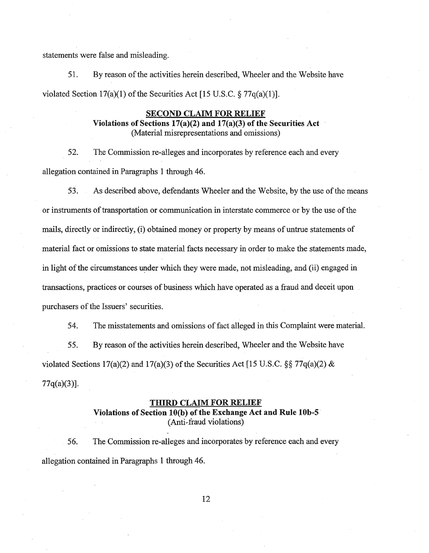statements were false and misleading.

51. By reason ofthe activities herein described, Wheeler and the Website have violated Section  $17(a)(1)$  of the Securities Act [15 U.S.C. § 77 $q(a)(1)$ ].

# **SECOND CLAIM FOR RELIEF**

Violations of Sections 17(a)(2) and 17(a)(3) of the Securities Act (Material misrepresentations and omissions)

52. The Commission re-alleges and incorporates by reference each and every allegation contained in Paragraphs 1 through 46.

53. As described above, defendants Wheeler and the Website, by the use of the means or instruments of transportation or communication in interstate commerce or by the use of the mails, directly or indirectly, (i) obtained money or property by means of untrue statements of material fact or omissions to state material facts necessary in order to make the statements made, in light of the circumstances under which they were made, not misleading, and (ii) engaged in transactions, practices or courses of business which have operated as a fraud and deceit upon purchasers of the Issuers' securities.

54. The misstatements and omissions offact alleged in this Complaint were material. 55. By reason of the activities herein described, Wheeler and the Website have violated Sections 17(a)(2) and 17(a)(3) of the Securities Act [15 U.S.C.  $\S 77q(a)(2) \&$ 77q(a)(3)].

#### **THIRD CLAIM FOR RELIEF**

# **Violations** of Section **10(b)** of the **Exchange Act and Rule 10b-5** (Anti-fraud violations)

56. The Commission re-alleges and incorporates by reference each and every allegation contained in Paragraphs 1 through 46.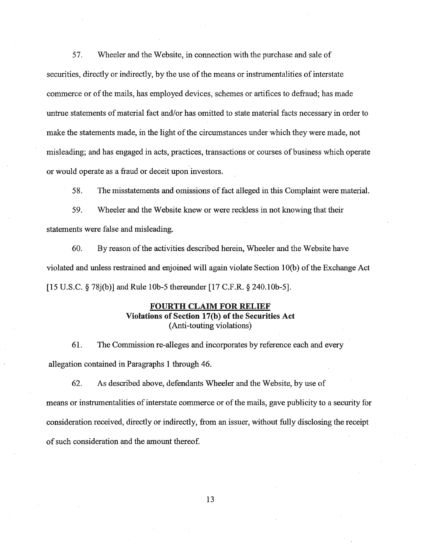57. Wheeler and the Website, in connection with the purchase and sale of securities, directly or indirectly, by the use of the means or instrumentalities of interstate commerce or of the mails, has employed devices, schemes or artifices to defraud; has made untrue statements of material fact and/or has omitted to state material facts necessary in order to make the statements made, in the light of the circumstances under which they were made, not misleading; and has engaged in acts, practices, transactions or courses ofbusiness which operate or would operate as a fraud or deceit upon investors.

58. The misstatements and omissions offact alleged in this Complaint were material.

59. Wheeler and the Website knew or were reckless in not knowing that their statements were false and misleading.

60. By reason of the activities described herein, Wheeler and the Website have violated and unless restrained and enjoined will again violate Section 1O(b) ofthe Exchange Act [15 U.S.C. § 78j(b)] and Rule 10b-5 thereunder [17 C.F.R. § 240.10b-5].

# **FOURTH CLAIM FOR RELIEF Violations of Section 17(b) of the Securities Act** (Anti-touting violations)

61. The Commission re-alleges and incorporates by reference each and every allegation contained in Paragraphs 1 through 46.

62. As described above, defendants Wheeler and the Website, by use of means or instrumentalities of interstate commerce or of the mails, gave publicity to a security for consideration received, directly or indirectly, from an issuer, without fully disclosing the receipt of such consideration and the amount thereof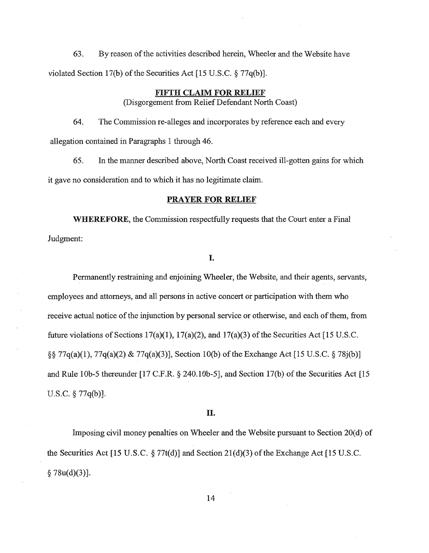63. By reason ofthe activities described herein, Wheeler and the Website have violated Section 17(b) of the Securities Act [15 U.S.C.  $\S$  77q(b)].

# **FIFTH CLAIM FOR RELIEF**

(Disgorgement from ReliefDefendant North Coast)

64. The Commission re-alleges and incorporates by reference each and every allegation contained in Paragraphs 1 through 46.

65. In the manner described above, North Coast received ill-gotten gains for which it gave no consideration and to which it has no legitimate claim.

#### **PRAYER FOR RELIEF**

**WHEREFORE,** the Commission respectfully requests that the Court enter a Final Judgment:

# **I.**

Permanently restraining and enjoining Wheeler, the Website, and their agents, servants, employees and attorneys, and all persons in active concert or participation with them who receive actual notice of the injunction by personal service or otherwise, and each of them, from future violations of Sections 17(a)(1), 17(a)(2), and 17(a)(3) of the Securities Act [15 U.S.C. §§ 77q(a)(1), 77q(a)(2) & 77q(a)(3)], Section 10(b) ofthe Exchange Act [15 U.S.C. § 78j(b)] and Rule lOb-5 thereunder [17 C.F.R. § 240.10b-5], and Section 17(b) of the Securities Act [15 u.S.c. § 77q(b)].

### **II.**

Imposing civil money penalties on Wheeler and the Website pursuant to Section 20(d) of the Securities Act [15 U.S.C.  $\S 77t(d)$ ] and Section 21(d)(3) of the Exchange Act [15 U.S.C.  $§ 78u(d)(3)].$